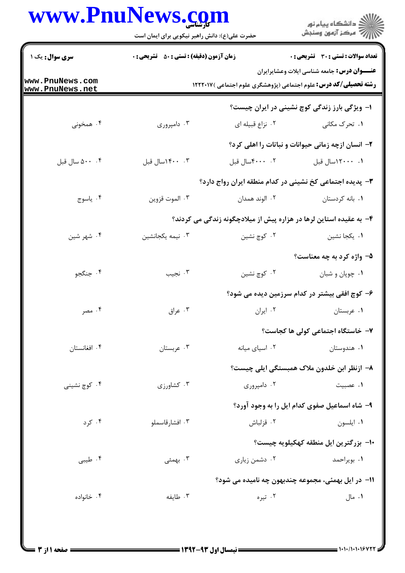## www.PnuNews.com

|                                    | www.PnuNews.com<br>حضرت علی(ع): دانش راهبر نیکویی برای ایمان است                                                               |                  | ڪ دانشڪاه پيا <sub>م</sub> نور<br>۾ سرڪز آزمون وسنڊش               |  |
|------------------------------------|--------------------------------------------------------------------------------------------------------------------------------|------------------|--------------------------------------------------------------------|--|
| <b>سری سوال :</b> یک ۱             | <b>زمان آزمون (دقیقه) : تستی : 50 ٪ تشریحی : 0</b>                                                                             |                  | تعداد سوالات : تستي : 30 ٪ تشريحي : 0                              |  |
| www.PnuNews.com<br>www.PnuNews.net | <b>عنـــوان درس:</b> جامعه شناسی ایلات وعشایرایران<br><b>رشته تحصیلی/کد درس:</b> علوم اجتماعی (پژوهشگری علوم اجتماعی ) ۱۲۲۲۰۱۷ |                  |                                                                    |  |
|                                    |                                                                                                                                |                  | ا- ویژگی بارز زندگی کوچ نشینی در ایران چیست؟                       |  |
| ۰۴ همخونی                          | ۰۳ دامپروري                                                                                                                    | ۰۲ نزاع قبیله ای | ۰۱ تحرک مکان <sub>ی</sub>                                          |  |
|                                    |                                                                                                                                |                  | ۲- انسان ازچه زمانی حیوانات و نباتات را اهلی کرد؟                  |  |
| ۰۰ . ۵۰۰ سال قبل                   | ۰. ۱۴۰۰سال قبل                                                                                                                 | ٠٢ ٠٠٠٠سال قبل   | ۰۱ ۲۰۰۰۰سال قبل                                                    |  |
|                                    |                                                                                                                                |                  | ۳- پدیده اجتماعی کخ نشینی در کدام منطقه ایران رواج دارد؟           |  |
| ۰۴ ياسوج                           | ۰۳ الموت قزوين                                                                                                                 | ۰۲ الوند همدان   | ٠١ بانه كردستان                                                    |  |
|                                    |                                                                                                                                |                  | ۴- به عقیده استاین لرها در هزاره پیش از میلادچگونه زندگی می کردند؟ |  |
| ۰۴ شهر شين                         | ۰۳ نیمه یکجانشین                                                                                                               | ۰۲ کوچ نشین      | ۰۱ یکجا نشین                                                       |  |
|                                    |                                                                                                                                |                  | ۵- واژه کرد به چه معناست؟                                          |  |
| ۰۴ جنگجو                           | ۰۳ نجيب                                                                                                                        | ۰۲ کوچ نشین      | ٠١ چوپان و شبان                                                    |  |
|                                    |                                                                                                                                |                  | ۶– کوچ افقی بیشتر در کدام سرزمین دیده می شود؟                      |  |
| ۰۴ مصر                             | ۰۳ عراق                                                                                                                        | ٠٢ ايران         | ۰۱ عربستان                                                         |  |
|                                    |                                                                                                                                |                  | ۷– خاستگاه اجتماعی کولی ها کجاست؟                                  |  |
| ۰۴ افغانستان                       | ۰۳ عربستان                                                                                                                     | ٠٢ اسياى ميانه   | ۰۱ هندوستان                                                        |  |
|                                    |                                                                                                                                |                  | ۸– ازنظر ابن خلدون ملاک همبستگی ایلی چیست؟                         |  |
| ۰۴ کوچ نشینی                       | ۰۳ کشاورزی                                                                                                                     | ۰۲ دامپروری      | ۰۱ عصبيت                                                           |  |
|                                    |                                                                                                                                |                  | ۹- شاه اسماعیل صفوی کدام ایل را به وجود آورد؟                      |  |
| ۰۴ کرد                             | ۰۳ افشارقاسملو                                                                                                                 | ۰۲ قزلباش        | ٠١ ايلسون                                                          |  |
|                                    |                                                                                                                                |                  | ∙ا− بزرگترین ایل منطقه کهکیلویه چیست؟                              |  |
| ۰۴ طیبی                            | ۰۳ بهمئی                                                                                                                       | ۰۲ دشمن زیاری    | ۰۱ بویراحمد                                                        |  |
|                                    |                                                                                                                                |                  | 11- در ایل بهمئی، مجموعه چندبهون چه نامیده می شود؟                 |  |
| ۰۴ خانواده                         | ۰۳ طايفه                                                                                                                       | ۰۲ تیره          | ۰۱ مال                                                             |  |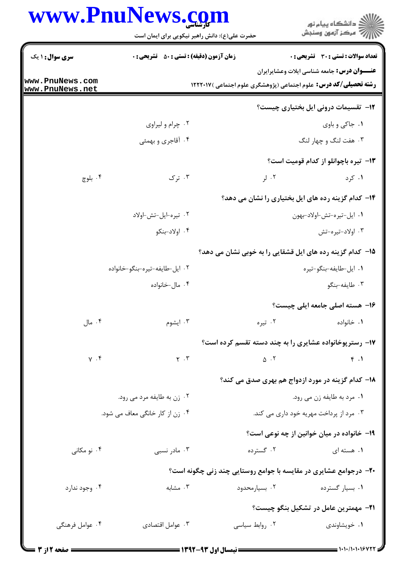## WWW PnuNews com

| www.fiiuine                        | حضرت علی(ع): دانش راهبر نیکویی برای ایمان است |                            | د<br>د انشڪاه پيام نور<br>* مرڪز آزمون وسنڊش                                                                                  |  |
|------------------------------------|-----------------------------------------------|----------------------------|-------------------------------------------------------------------------------------------------------------------------------|--|
| <b>سری سوال : ۱ یک</b>             | زمان آزمون (دقیقه) : تستی : ۵۰٪ تشریحی : ۰    |                            | تعداد سوالات : تستي : 30 ٪ تشريحي : 0                                                                                         |  |
| www.PnuNews.com<br>www.PnuNews.net |                                               |                            | <b>عنـــوان درس:</b> جامعه شناسی ایلات وعشایرایران<br><b>رشته تحصیلی/کد درس:</b> علوم اجتماعی (پژوهشگری علوم اجتماعی )۱۲۲۲۰۱۷ |  |
|                                    |                                               |                            | <b>۱۲</b> - تقسیمات درونی ایل بختیاری چیست؟                                                                                   |  |
|                                    | ۰۲ چرام و ليراوى                              |                            | ۰۱ جاکی و باوی                                                                                                                |  |
|                                    | ۰۴ آقاجری و بهمئی                             |                            | ۰۳ هفت لنگ و چهار لنگ                                                                                                         |  |
|                                    |                                               |                            | <b>۱۳</b> - تیره باچوانلو از کدام قومیت است؟                                                                                  |  |
| ۰۴ بلوچ                            | ۰۳ ترک                                        | $J \cdot Y$                | ۰۱ کرد                                                                                                                        |  |
|                                    |                                               |                            | ۱۴– کدام گزینه رده های ایل بختیاری را نشان می دهد؟                                                                            |  |
|                                    | ٠٢ تيره-ايل-تش-اولاد                          |                            | ٠١. ايل-تيره-تش-اولاد-بهون                                                                                                    |  |
|                                    | ۰۴ اولاد-بنکو                                 |                            | ۰۳ اولاد-تيره-تش                                                                                                              |  |
|                                    |                                               |                            | 1۵– کدام گزینه رده های ایل قشقایی را به خوبی نشان می دهد؟                                                                     |  |
|                                    | ۰۲ ایل-طایفه-تیره-بنگو-خانواده                |                            | ٠١ ايل-طايفه-بنگو-تيره                                                                                                        |  |
|                                    | ۰۴ مال-خانواده                                |                            | ۰۳ طايفه-بنگو                                                                                                                 |  |
|                                    |                                               |                            | ۱۶– هسته اصلی جامعه ایلی چیست؟                                                                                                |  |
| ۰۴ مال                             | ۰۳ ایشوم                                      | ۰۲ تیره                    | ٠١. خانواده                                                                                                                   |  |
|                                    |                                               |                            | ۱۷- رسترپوخانواده عشایری را به چند دسته تقسم کرده است؟                                                                        |  |
| $\gamma$ . $\mathfrak{f}$          | $\mathbf{Y} \rightarrow \mathbf{Y}$           | $\Delta$ .                 | f.1                                                                                                                           |  |
|                                    |                                               |                            | ۱۸– کدام گزینه در مورد ازدواج هم بهری صدق می کند؟                                                                             |  |
| ۰۲ زن به طایفه مرد می رود.         |                                               | ٠١ مرد به طايفه زن مي رود. |                                                                                                                               |  |
| ۰۴ زن از کار خانگی معاف می شود.    |                                               |                            | ۰۳ مرد از پرداخت مهریه خود داری می کند.                                                                                       |  |
|                                    |                                               |                            | 1۹- خانواده در میان خوانین از چه نوعی است؟                                                                                    |  |
| ۰۴ نو مکانی                        | ۰۳ مادر نسبی                                  | ۰۲ گسترده                  | ۰۱ هسته ای                                                                                                                    |  |
|                                    |                                               |                            | ۲۰- درجوامع عشایری در مقایسه با جوامع روستایی چند زنی چگونه است؟                                                              |  |
| ۰۴ وجود ندارد                      | ۰۳ مشابه                                      | ۰۲ بسیارمحدود              | ۰۱ بسیار گسترده                                                                                                               |  |
|                                    |                                               |                            | <b>٢١</b> - مهمترين عامل در تشكيل بنگو چيست؟                                                                                  |  |
| ۰۴ عوامل فرهنگی                    | ۰۳ عوامل اقتصادي                              | ۰۲ روابط سیاسی             | ۰۱ خویشاوندی                                                                                                                  |  |